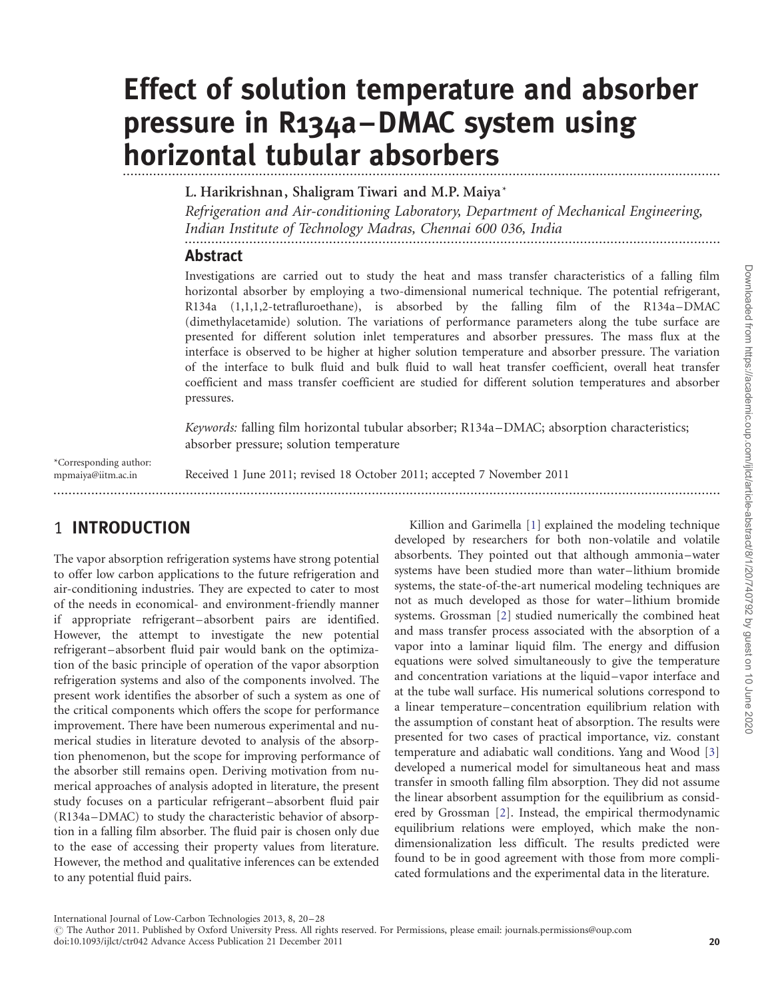# ............................................................................................................................... ............................... Effect of solution temperature and absorber pressure in R134a–DMAC system using horizontal tubular absorbers

L. Harikrishnan, Shaligram Tiwari and M.P. Maiya\*

............................................................................................................................................. Refrigeration and Air-conditioning Laboratory, Department of Mechanical Engineering, Indian Institute of Technology Madras, Chennai 600 036, India

### Abstract

Investigations are carried out to study the heat and mass transfer characteristics of a falling film horizontal absorber by employing a two-dimensional numerical technique. The potential refrigerant, R134a (1,1,1,2-tetrafluroethane), is absorbed by the falling film of the R134a –DMAC (dimethylacetamide) solution. The variations of performance parameters along the tube surface are presented for different solution inlet temperatures and absorber pressures. The mass flux at the interface is observed to be higher at higher solution temperature and absorber pressure. The variation of the interface to bulk fluid and bulk fluid to wall heat transfer coefficient, overall heat transfer coefficient and mass transfer coefficient are studied for different solution temperatures and absorber pressures.

Keywords: falling film horizontal tubular absorber; R134a –DMAC; absorption characteristics; absorber pressure; solution temperature

\*Corresponding author: mpmaiya@iitm.ac.in

Received 1 June 2011; revised 18 October 2011; accepted 7 November 2011

................................................................................................................................................................................

# 1 INTRODUCTION

The vapor absorption refrigeration systems have strong potential to offer low carbon applications to the future refrigeration and air-conditioning industries. They are expected to cater to most of the needs in economical- and environment-friendly manner if appropriate refrigerant –absorbent pairs are identified. However, the attempt to investigate the new potential refrigerant –absorbent fluid pair would bank on the optimization of the basic principle of operation of the vapor absorption refrigeration systems and also of the components involved. The present work identifies the absorber of such a system as one of the critical components which offers the scope for performance improvement. There have been numerous experimental and numerical studies in literature devoted to analysis of the absorption phenomenon, but the scope for improving performance of the absorber still remains open. Deriving motivation from numerical approaches of analysis adopted in literature, the present study focuses on a particular refrigerant –absorbent fluid pair (R134a –DMAC) to study the characteristic behavior of absorption in a falling film absorber. The fluid pair is chosen only due to the ease of accessing their property values from literature. However, the method and qualitative inferences can be extended to any potential fluid pairs.

Killion and Garimella [[1\]](#page-8-0) explained the modeling technique developed by researchers for both non-volatile and volatile absorbents. They pointed out that although ammonia–water systems have been studied more than water–lithium bromide systems, the state-of-the-art numerical modeling techniques are not as much developed as those for water–lithium bromide systems. Grossman [\[2](#page-8-0)] studied numerically the combined heat and mass transfer process associated with the absorption of a vapor into a laminar liquid film. The energy and diffusion equations were solved simultaneously to give the temperature and concentration variations at the liquid –vapor interface and at the tube wall surface. His numerical solutions correspond to a linear temperature–concentration equilibrium relation with the assumption of constant heat of absorption. The results were presented for two cases of practical importance, viz. constant temperature and adiabatic wall conditions. Yang and Wood [\[3](#page-8-0)] developed a numerical model for simultaneous heat and mass transfer in smooth falling film absorption. They did not assume the linear absorbent assumption for the equilibrium as considered by Grossman [[2](#page-8-0)]. Instead, the empirical thermodynamic equilibrium relations were employed, which make the nondimensionalization less difficult. The results predicted were found to be in good agreement with those from more complicated formulations and the experimental data in the literature.

International Journal of Low-Carbon Technologies 2013, 8, 20–28

 $\odot$  The Author 2011. Published by Oxford University Press. All rights reserved. For Permissions, please email: journals.permissions@oup.com doi:10.1093/ijlct/ctr042 Advance Access Publication 21 December 2011 20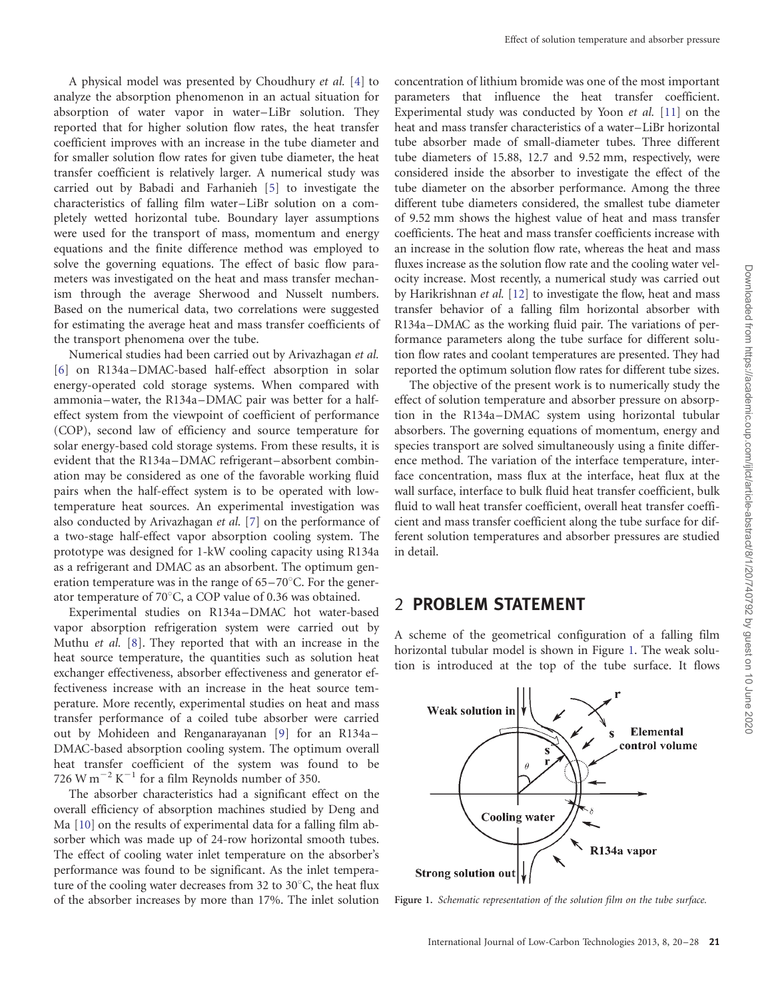<span id="page-1-0"></span>A physical model was presented by Choudhury et al. [[4](#page-8-0)] to analyze the absorption phenomenon in an actual situation for absorption of water vapor in water–LiBr solution. They reported that for higher solution flow rates, the heat transfer coefficient improves with an increase in the tube diameter and for smaller solution flow rates for given tube diameter, the heat transfer coefficient is relatively larger. A numerical study was carried out by Babadi and Farhanieh [[5\]](#page-8-0) to investigate the characteristics of falling film water–LiBr solution on a completely wetted horizontal tube. Boundary layer assumptions were used for the transport of mass, momentum and energy equations and the finite difference method was employed to solve the governing equations. The effect of basic flow parameters was investigated on the heat and mass transfer mechanism through the average Sherwood and Nusselt numbers. Based on the numerical data, two correlations were suggested for estimating the average heat and mass transfer coefficients of the transport phenomena over the tube.

Numerical studies had been carried out by Arivazhagan et al. [\[6](#page-8-0)] on R134a-DMAC-based half-effect absorption in solar energy-operated cold storage systems. When compared with ammonia –water, the R134a –DMAC pair was better for a halfeffect system from the viewpoint of coefficient of performance (COP), second law of efficiency and source temperature for solar energy-based cold storage systems. From these results, it is evident that the R134a –DMAC refrigerant–absorbent combination may be considered as one of the favorable working fluid pairs when the half-effect system is to be operated with lowtemperature heat sources. An experimental investigation was also conducted by Arivazhagan et al. [\[7](#page-8-0)] on the performance of a two-stage half-effect vapor absorption cooling system. The prototype was designed for 1-kW cooling capacity using R134a as a refrigerant and DMAC as an absorbent. The optimum generation temperature was in the range of  $65-70^{\circ}$ C. For the generator temperature of 70 $^{\circ}$ C, a COP value of 0.36 was obtained.

Experimental studies on R134a –DMAC hot water-based vapor absorption refrigeration system were carried out by Muthu et al. [\[8\]](#page-8-0). They reported that with an increase in the heat source temperature, the quantities such as solution heat exchanger effectiveness, absorber effectiveness and generator effectiveness increase with an increase in the heat source temperature. More recently, experimental studies on heat and mass transfer performance of a coiled tube absorber were carried out by Mohideen and Renganarayanan [[9](#page-8-0)] for an R134a-DMAC-based absorption cooling system. The optimum overall heat transfer coefficient of the system was found to be 726 W m<sup> $-2$ </sup> K<sup> $-1$ </sup> for a film Reynolds number of 350.

The absorber characteristics had a significant effect on the overall efficiency of absorption machines studied by Deng and Ma [\[10\]](#page-8-0) on the results of experimental data for a falling film absorber which was made up of 24-row horizontal smooth tubes. The effect of cooling water inlet temperature on the absorber's performance was found to be significant. As the inlet temperature of the cooling water decreases from 32 to  $30^{\circ}$ C, the heat flux of the absorber increases by more than 17%. The inlet solution

concentration of lithium bromide was one of the most important parameters that influence the heat transfer coefficient. Experimental study was conducted by Yoon et al. [[11](#page-8-0)] on the heat and mass transfer characteristics of a water–LiBr horizontal tube absorber made of small-diameter tubes. Three different tube diameters of 15.88, 12.7 and 9.52 mm, respectively, were considered inside the absorber to investigate the effect of the tube diameter on the absorber performance. Among the three different tube diameters considered, the smallest tube diameter of 9.52 mm shows the highest value of heat and mass transfer coefficients. The heat and mass transfer coefficients increase with an increase in the solution flow rate, whereas the heat and mass fluxes increase as the solution flow rate and the cooling water velocity increase. Most recently, a numerical study was carried out by Harikrishnan et al. [[12](#page-8-0)] to investigate the flow, heat and mass transfer behavior of a falling film horizontal absorber with R134a–DMAC as the working fluid pair. The variations of performance parameters along the tube surface for different solution flow rates and coolant temperatures are presented. They had reported the optimum solution flow rates for different tube sizes.

The objective of the present work is to numerically study the effect of solution temperature and absorber pressure on absorption in the R134a –DMAC system using horizontal tubular absorbers. The governing equations of momentum, energy and species transport are solved simultaneously using a finite difference method. The variation of the interface temperature, interface concentration, mass flux at the interface, heat flux at the wall surface, interface to bulk fluid heat transfer coefficient, bulk fluid to wall heat transfer coefficient, overall heat transfer coefficient and mass transfer coefficient along the tube surface for different solution temperatures and absorber pressures are studied in detail.

## 2 PROBLEM STATEMENT

A scheme of the geometrical configuration of a falling film horizontal tubular model is shown in Figure 1. The weak solution is introduced at the top of the tube surface. It flows



Figure 1. Schematic representation of the solution film on the tube surface.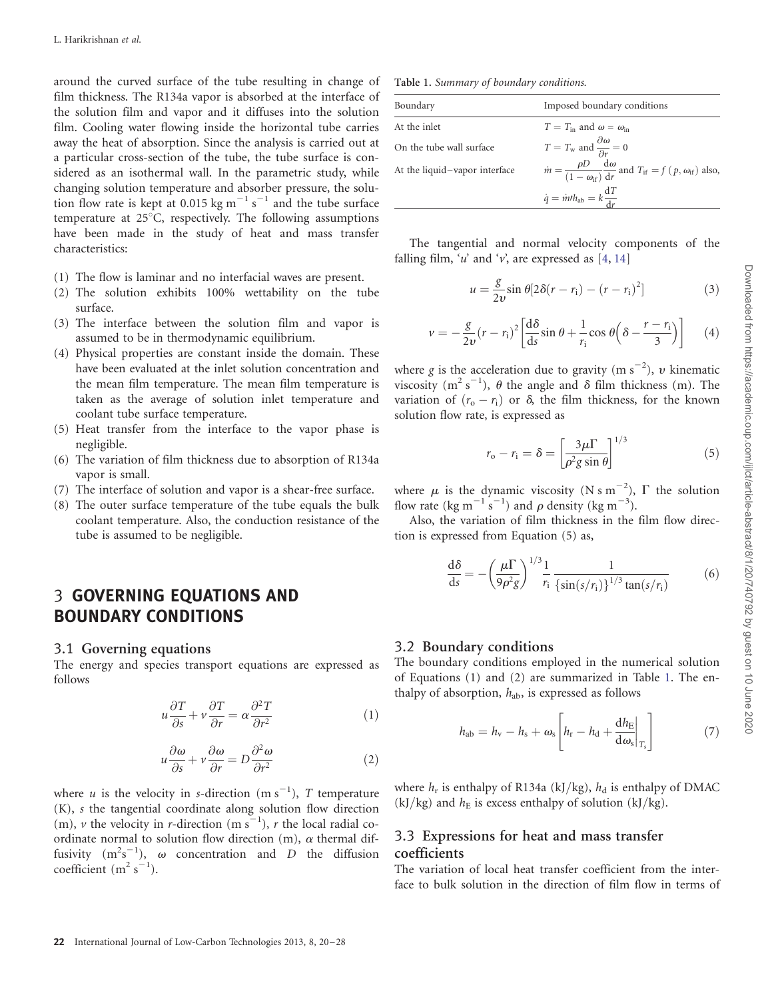around the curved surface of the tube resulting in change of film thickness. The R134a vapor is absorbed at the interface of the solution film and vapor and it diffuses into the solution film. Cooling water flowing inside the horizontal tube carries away the heat of absorption. Since the analysis is carried out at a particular cross-section of the tube, the tube surface is considered as an isothermal wall. In the parametric study, while changing solution temperature and absorber pressure, the solution flow rate is kept at 0.015 kg  $m^{-1} s^{-1}$  and the tube surface temperature at  $25^{\circ}$ C, respectively. The following assumptions have been made in the study of heat and mass transfer characteristics:

- (1) The flow is laminar and no interfacial waves are present.
- (2) The solution exhibits 100% wettability on the tube surface.
- (3) The interface between the solution film and vapor is assumed to be in thermodynamic equilibrium.
- (4) Physical properties are constant inside the domain. These have been evaluated at the inlet solution concentration and the mean film temperature. The mean film temperature is taken as the average of solution inlet temperature and coolant tube surface temperature.
- (5) Heat transfer from the interface to the vapor phase is negligible.
- (6) The variation of film thickness due to absorption of R134a vapor is small.
- (7) The interface of solution and vapor is a shear-free surface.
- (8) The outer surface temperature of the tube equals the bulk coolant temperature. Also, the conduction resistance of the tube is assumed to be negligible.

# 3 GOVERNING EQUATIONS AND BOUNDARY CONDITIONS

#### 3.1 Governing equations

The energy and species transport equations are expressed as follows

$$
u\frac{\partial T}{\partial s} + v\frac{\partial T}{\partial r} = \alpha \frac{\partial^2 T}{\partial r^2}
$$
 (1)

$$
u\frac{\partial \omega}{\partial s} + v\frac{\partial \omega}{\partial r} = D\frac{\partial^2 \omega}{\partial r^2}
$$
 (2)

where *u* is the velocity in s-direction  $(m s^{-1})$ , *T* temperature (K), s the tangential coordinate along solution flow direction (m),  $\nu$  the velocity in r-direction (m s<sup>-1</sup>), r the local radial coordinate normal to solution flow direction  $(m)$ ,  $\alpha$  thermal diffusivity  $(m^2s^{-1})$ ,  $\omega$  concentration and D the diffusion coefficient  $(m^2 s^{-1})$ .

Table 1. Summary of boundary conditions.

| Boundary                      | Imposed boundary conditions                                                                                        |
|-------------------------------|--------------------------------------------------------------------------------------------------------------------|
| At the inlet                  | $T = T_{\text{in}}$ and $\omega = \omega_{\text{in}}$                                                              |
| On the tube wall surface      | $T = T_{\rm w}$ and $\frac{\partial \omega}{\partial r} = 0$                                                       |
| At the liquid-vapor interface | $\dot{m} = \frac{\rho D}{(1 - \omega_{\rm if})} \frac{d\omega}{dr}$ and $T_{\rm if} = f(p, \omega_{\rm if})$ also, |
|                               | $\dot{q} = \dot{m}h_{ab} = k\frac{dT}{dr}$                                                                         |

The tangential and normal velocity components of the falling film, 'u' and 'v', are expressed as  $[4, 14]$  $[4, 14]$  $[4, 14]$  $[4, 14]$  $[4, 14]$ 

$$
u = \frac{g}{2v} \sin \theta \left[ 2\delta (r - r_i) - (r - r_i)^2 \right] \tag{3}
$$

$$
\nu = -\frac{g}{2v}(r - r_i)^2 \left[ \frac{d\delta}{ds} \sin \theta + \frac{1}{r_i} \cos \theta \left( \delta - \frac{r - r_i}{3} \right) \right]
$$
 (4)

where g is the acceleration due to gravity (m s<sup>-2</sup>), v kinematic viscosity (m<sup>2</sup> s<sup>-1</sup>),  $\theta$  the angle and  $\delta$  film thickness (m). The variation of  $(r_0 - r_1)$  or  $\delta$ , the film thickness, for the known solution flow rate, is expressed as

$$
r_{o} - r_{i} = \delta = \left[\frac{3\mu\Gamma}{\rho^{2}g\sin\theta}\right]^{1/3}
$$
 (5)

where  $\mu$  is the dynamic viscosity (N s m<sup>-2</sup>),  $\Gamma$  the solution flow rate (kg m<sup>-1</sup> s<sup>-1</sup>) and  $\rho$  density (kg m<sup>-3</sup>).

Also, the variation of film thickness in the film flow direction is expressed from Equation (5) as,

$$
\frac{\mathrm{d}\delta}{\mathrm{d}s} = -\left(\frac{\mu\Gamma}{9\rho^2 g}\right)^{1/3} \frac{1}{r_i} \frac{1}{\left\{\sin(s/r_i)\right\}^{1/3} \tan(s/r_i)}\tag{6}
$$

#### 3.2 Boundary conditions

The boundary conditions employed in the numerical solution of Equations (1) and (2) are summarized in Table 1. The enthalpy of absorption,  $h_{ab}$ , is expressed as follows

$$
h_{ab} = h_{v} - h_{s} + \omega_{s} \left[ h_{r} - h_{d} + \frac{dh_{E}}{d\omega_{s}} \Big|_{T_{s}} \right]
$$
 (7)

where  $h_r$  is enthalpy of R134a (kJ/kg),  $h_d$  is enthalpy of DMAC (kJ/kg) and  $h<sub>E</sub>$  is excess enthalpy of solution (kJ/kg).

#### 3.3 Expressions for heat and mass transfer coefficients

The variation of local heat transfer coefficient from the interface to bulk solution in the direction of film flow in terms of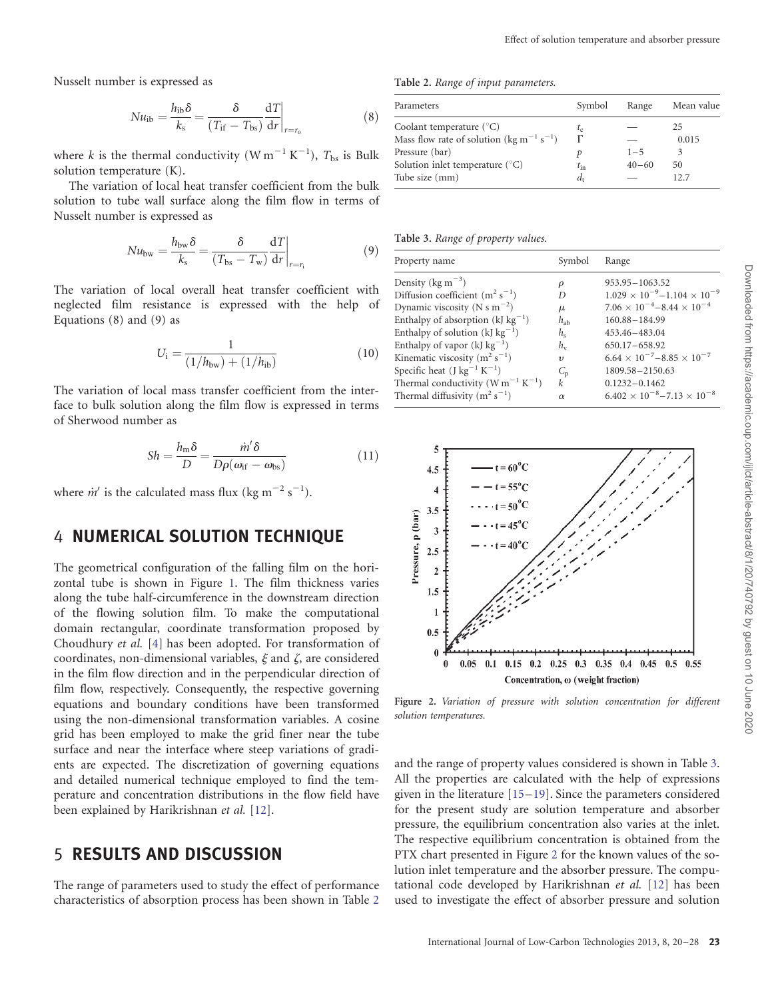Nusselt number is expressed as

$$
Nu_{\rm ib} = \frac{h_{\rm ib}\delta}{k_{\rm s}} = \frac{\delta}{(T_{\rm if} - T_{\rm bs})} \frac{\rm d}T}{\rm d}r\Big|_{r=r_{\rm o}}\tag{8}
$$

where k is the thermal conductivity  $(W m^{-1} K^{-1})$ ,  $T_{bs}$  is Bulk solution temperature (K).

The variation of local heat transfer coefficient from the bulk solution to tube wall surface along the film flow in terms of Nusselt number is expressed as

$$
Nu_{\text{bw}} = \frac{h_{\text{bw}}\delta}{k_{\text{s}}} = \frac{\delta}{(T_{\text{bs}} - T_{\text{w}})}\frac{dT}{dr}\Big|_{r=r_{\text{i}}}
$$
(9)

The variation of local overall heat transfer coefficient with neglected film resistance is expressed with the help of Equations (8) and (9) as

$$
U_{\rm i} = \frac{1}{(1/h_{\rm bw}) + (1/h_{\rm ib})} \tag{10}
$$

The variation of local mass transfer coefficient from the interface to bulk solution along the film flow is expressed in terms of Sherwood number as

$$
Sh = \frac{h_{\rm m}\delta}{D} = \frac{\dot{m}'\delta}{D\rho(\omega_{\rm if} - \omega_{\rm bs})}
$$
(11)

where  $\dot{m}'$  is the calculated mass flux (kg m<sup>-2</sup> s<sup>-1</sup>).

### 4 NUMERICAL SOLUTION TECHNIQUE

The geometrical configuration of the falling film on the horizontal tube is shown in Figure [1.](#page-1-0) The film thickness varies along the tube half-circumference in the downstream direction of the flowing solution film. To make the computational domain rectangular, coordinate transformation proposed by Choudhury et al. [[4](#page-8-0)] has been adopted. For transformation of coordinates, non-dimensional variables,  $\xi$  and  $\zeta$ , are considered in the film flow direction and in the perpendicular direction of film flow, respectively. Consequently, the respective governing equations and boundary conditions have been transformed using the non-dimensional transformation variables. A cosine grid has been employed to make the grid finer near the tube surface and near the interface where steep variations of gradients are expected. The discretization of governing equations and detailed numerical technique employed to find the temperature and concentration distributions in the flow field have been explained by Harikrishnan et al. [\[12\]](#page-8-0).

# 5 RESULTS AND DISCUSSION

The range of parameters used to study the effect of performance characteristics of absorption process has been shown in Table 2

Table 2. Range of input parameters.

| Parameters                                                       | Symbol       | Range     | Mean value |
|------------------------------------------------------------------|--------------|-----------|------------|
| Coolant temperature $(^{\circ}C)$                                | $t_c$        |           | 25         |
| Mass flow rate of solution (kg m <sup>-1</sup> s <sup>-1</sup> ) |              |           | 0.015      |
| Pressure (bar)                                                   |              | $1 - 5$   | 3          |
| Solution inlet temperature $(^{\circ}C)$                         | $t_{\rm in}$ | $40 - 60$ | 50         |
| Tube size (mm)                                                   | $d_{\rm t}$  |           | 12.7       |

Table 3. Range of property values.

| Symbol              | Range                                         |
|---------------------|-----------------------------------------------|
| ρ                   | $953.95 - 1063.52$                            |
| D                   | $1.029 \times 10^{-9} - 1.104 \times 10^{-9}$ |
| $\mu$               | $7.06 \times 10^{-4} - 8.44 \times 10^{-4}$   |
| $h_{ab}$            | 160.88-184.99                                 |
| $h_{\rm c}$         | 453.46-483.04                                 |
| $h_{v}$             | 650.17-658.92                                 |
| $\boldsymbol{\eta}$ | $6.64 \times 10^{-7} - 8.85 \times 10^{-7}$   |
| $C_{\rm D}$         | 1809.58-2150.63                               |
| k                   | $0.1232 - 0.1462$                             |
| $\alpha$            | $6.402 \times 10^{-8} - 7.13 \times 10^{-8}$  |
|                     |                                               |



Figure 2. Variation of pressure with solution concentration for different solution temperatures.

and the range of property values considered is shown in Table 3. All the properties are calculated with the help of expressions given in the literature [\[15](#page-8-0)–[19\]](#page-8-0). Since the parameters considered for the present study are solution temperature and absorber pressure, the equilibrium concentration also varies at the inlet. The respective equilibrium concentration is obtained from the PTX chart presented in Figure 2 for the known values of the solution inlet temperature and the absorber pressure. The computational code developed by Harikrishnan et al. [\[12\]](#page-8-0) has been used to investigate the effect of absorber pressure and solution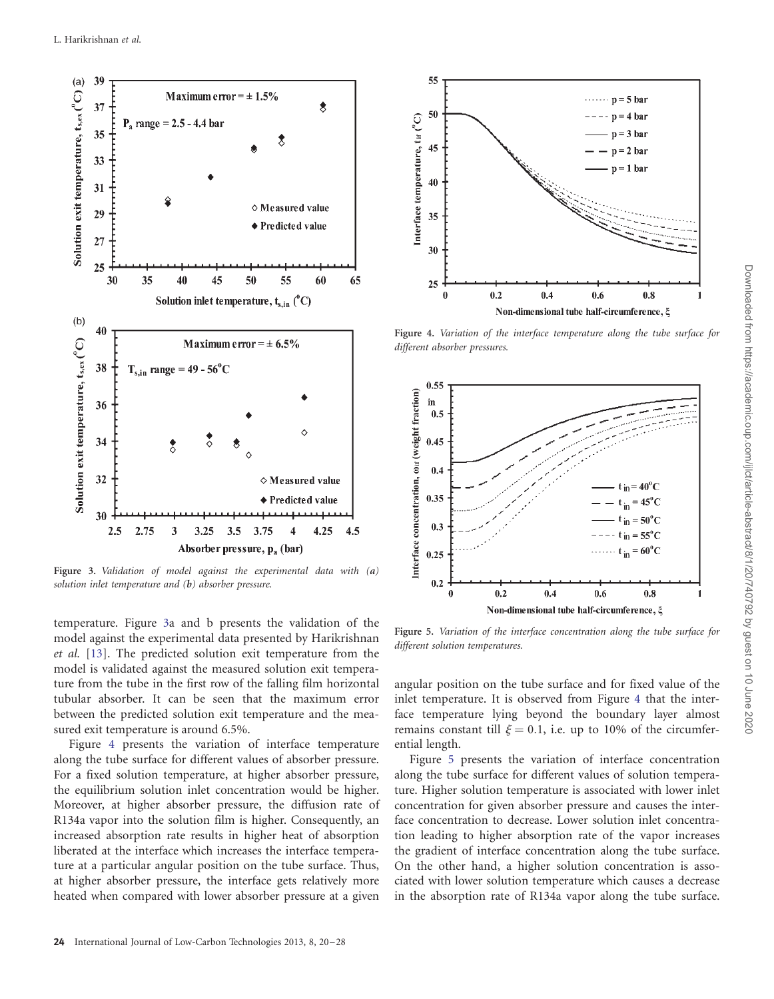

Figure 3. Validation of model against the experimental data with (a) solution inlet temperature and (b) absorber pressure.

temperature. Figure 3a and b presents the validation of the model against the experimental data presented by Harikrishnan et al. [[13](#page-8-0)]. The predicted solution exit temperature from the model is validated against the measured solution exit temperature from the tube in the first row of the falling film horizontal tubular absorber. It can be seen that the maximum error between the predicted solution exit temperature and the measured exit temperature is around 6.5%.

Figure 4 presents the variation of interface temperature along the tube surface for different values of absorber pressure. For a fixed solution temperature, at higher absorber pressure, the equilibrium solution inlet concentration would be higher. Moreover, at higher absorber pressure, the diffusion rate of R134a vapor into the solution film is higher. Consequently, an increased absorption rate results in higher heat of absorption liberated at the interface which increases the interface temperature at a particular angular position on the tube surface. Thus, at higher absorber pressure, the interface gets relatively more heated when compared with lower absorber pressure at a given



Figure 4. Variation of the interface temperature along the tube surface for different absorber pressures.



Figure 5. Variation of the interface concentration along the tube surface for different solution temperatures.

angular position on the tube surface and for fixed value of the inlet temperature. It is observed from Figure 4 that the interface temperature lying beyond the boundary layer almost remains constant till  $\xi = 0.1$ , i.e. up to 10% of the circumferential length.

Figure 5 presents the variation of interface concentration along the tube surface for different values of solution temperature. Higher solution temperature is associated with lower inlet concentration for given absorber pressure and causes the interface concentration to decrease. Lower solution inlet concentration leading to higher absorption rate of the vapor increases the gradient of interface concentration along the tube surface. On the other hand, a higher solution concentration is associated with lower solution temperature which causes a decrease in the absorption rate of R134a vapor along the tube surface.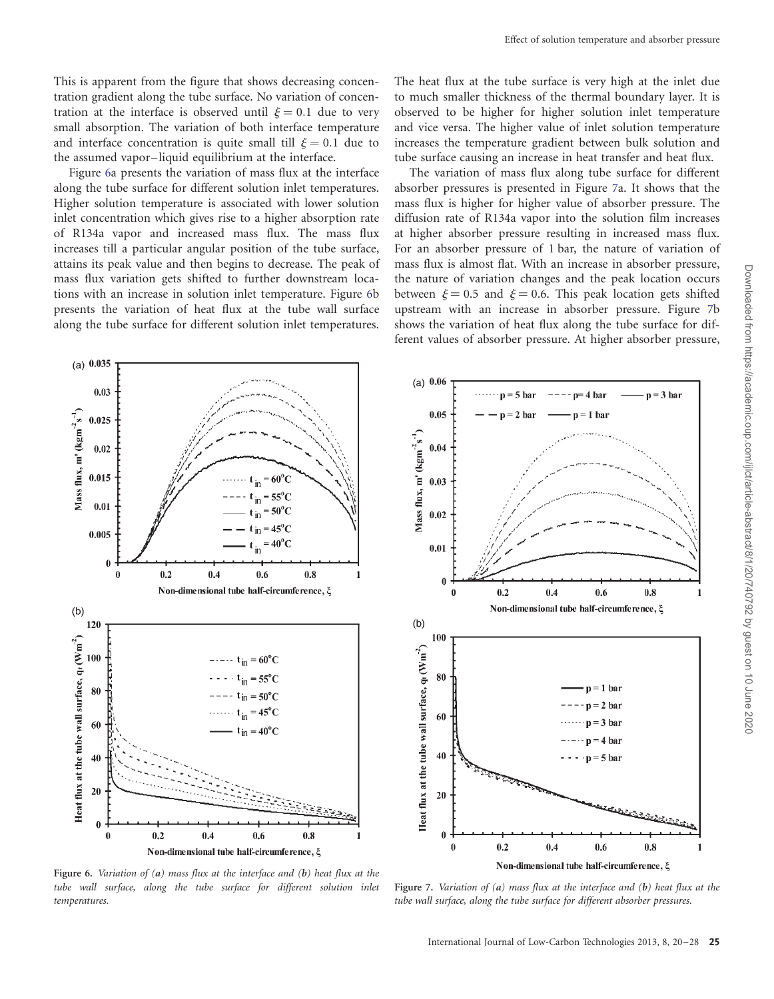<span id="page-5-0"></span>This is apparent from the figure that shows decreasing concentration gradient along the tube surface. No variation of concentration at the interface is observed until  $\xi = 0.1$  due to very small absorption. The variation of both interface temperature and interface concentration is quite small till  $\xi = 0.1$  due to the assumed vapor–liquid equilibrium at the interface.

Figure 6a presents the variation of mass flux at the interface along the tube surface for different solution inlet temperatures. Higher solution temperature is associated with lower solution inlet concentration which gives rise to a higher absorption rate of R134a vapor and increased mass flux. The mass flux increases till a particular angular position of the tube surface, attains its peak value and then begins to decrease. The peak of mass flux variation gets shifted to further downstream locations with an increase in solution inlet temperature. Figure 6b presents the variation of heat flux at the tube wall surface along the tube surface for different solution inlet temperatures.

The heat flux at the tube surface is very high at the inlet due to much smaller thickness of the thermal boundary layer. It is observed to be higher for higher solution inlet temperature and vice versa. The higher value of inlet solution temperature increases the temperature gradient between bulk solution and tube surface causing an increase in heat transfer and heat flux.

The variation of mass flux along tube surface for different absorber pressures is presented in Figure 7a. It shows that the mass flux is higher for higher value of absorber pressure. The diffusion rate of R134a vapor into the solution film increases at higher absorber pressure resulting in increased mass flux. For an absorber pressure of 1 bar, the nature of variation of mass flux is almost flat. With an increase in absorber pressure, the nature of variation changes and the peak location occurs between  $\xi = 0.5$  and  $\xi = 0.6$ . This peak location gets shifted upstream with an increase in absorber pressure. Figure 7b shows the variation of heat flux along the tube surface for different values of absorber pressure. At higher absorber pressure,





Figure 6. Variation of  $(a)$  mass flux at the interface and  $(b)$  heat flux at the tube wall surface, along the tube surface for different solution inlet temperatures.

Figure 7. Variation of (a) mass flux at the interface and (b) heat flux at the tube wall surface, along the tube surface for different absorber pressures.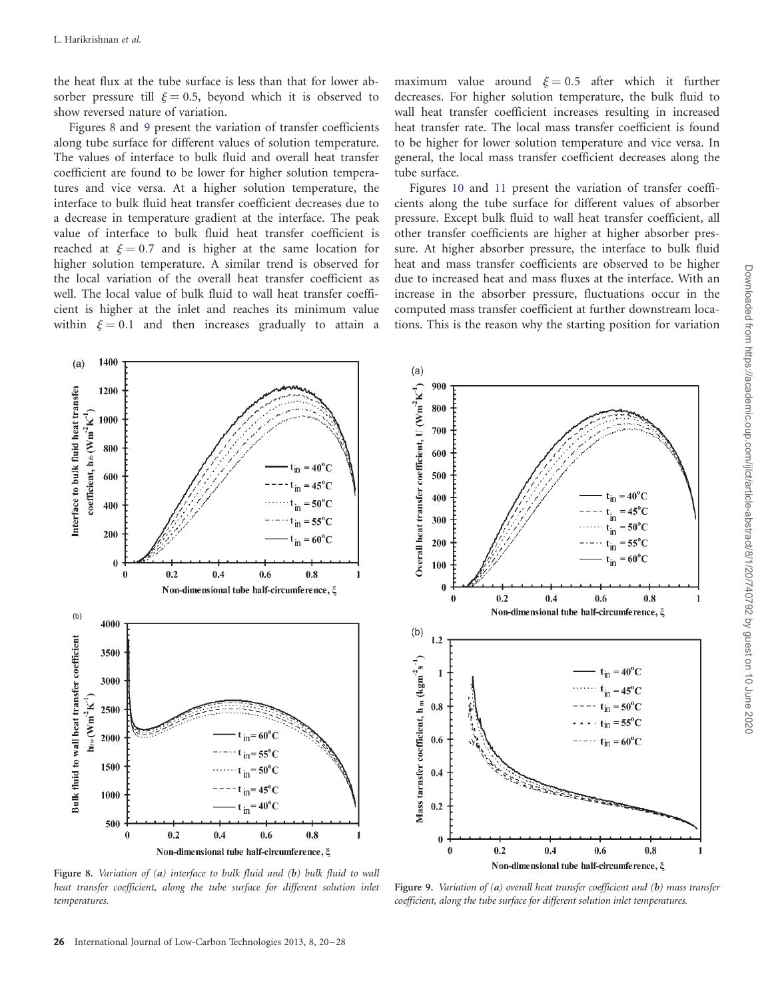the heat flux at the tube surface is less than that for lower absorber pressure till  $\xi = 0.5$ , beyond which it is observed to show reversed nature of variation.

Figures 8 and 9 present the variation of transfer coefficients along tube surface for different values of solution temperature. The values of interface to bulk fluid and overall heat transfer coefficient are found to be lower for higher solution temperatures and vice versa. At a higher solution temperature, the interface to bulk fluid heat transfer coefficient decreases due to a decrease in temperature gradient at the interface. The peak value of interface to bulk fluid heat transfer coefficient is reached at  $\xi = 0.7$  and is higher at the same location for higher solution temperature. A similar trend is observed for the local variation of the overall heat transfer coefficient as well. The local value of bulk fluid to wall heat transfer coefficient is higher at the inlet and reaches its minimum value within  $\xi = 0.1$  and then increases gradually to attain a

maximum value around  $\xi = 0.5$  after which it further decreases. For higher solution temperature, the bulk fluid to wall heat transfer coefficient increases resulting in increased heat transfer rate. The local mass transfer coefficient is found to be higher for lower solution temperature and vice versa. In general, the local mass transfer coefficient decreases along the tube surface.

Figures [10](#page-7-0) and [11](#page-7-0) present the variation of transfer coefficients along the tube surface for different values of absorber pressure. Except bulk fluid to wall heat transfer coefficient, all other transfer coefficients are higher at higher absorber pressure. At higher absorber pressure, the interface to bulk fluid heat and mass transfer coefficients are observed to be higher due to increased heat and mass fluxes at the interface. With an increase in the absorber pressure, fluctuations occur in the computed mass transfer coefficient at further downstream locations. This is the reason why the starting position for variation





Figure 8. Variation of (a) interface to bulk fluid and (b) bulk fluid to wall heat transfer coefficient, along the tube surface for different solution inlet temperatures.

Figure 9. Variation of  $(a)$  overall heat transfer coefficient and  $(b)$  mass transfer coefficient, along the tube surface for different solution inlet temperatures.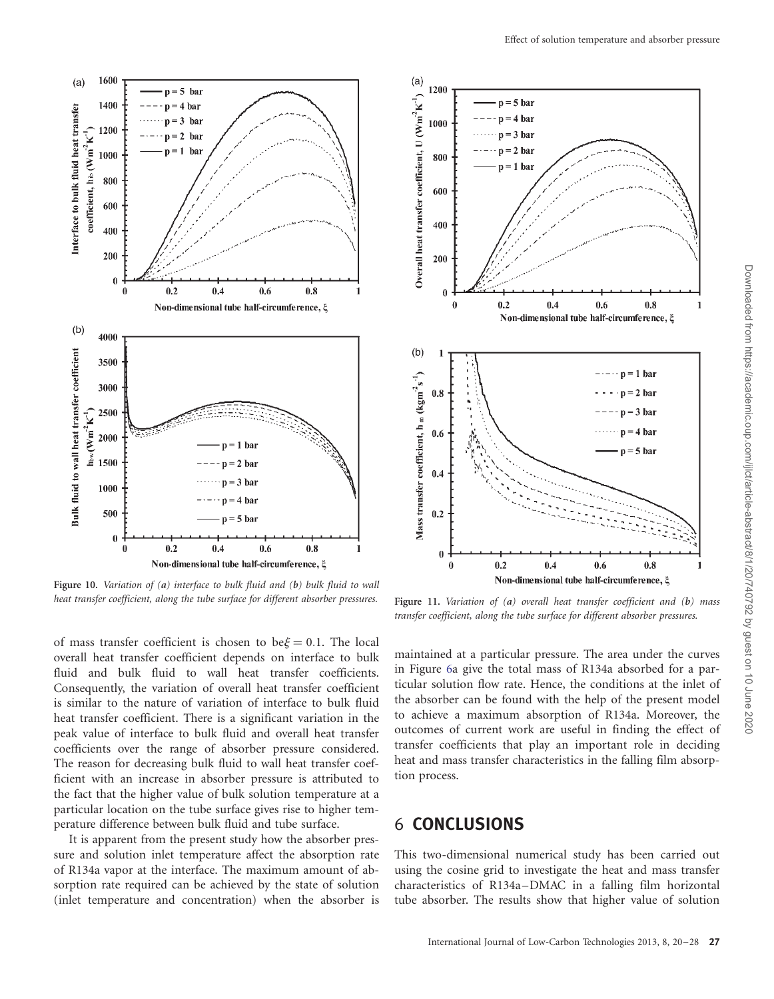<span id="page-7-0"></span>



Figure 10. Variation of (a) interface to bulk fluid and (b) bulk fluid to wall heat transfer coefficient, along the tube surface for different absorber pressures. Figure 11. Variation of (a) overall heat transfer coefficient and (b) mass

transfer coefficient, along the tube surface for different absorber pressures.

of mass transfer coefficient is chosen to be $\xi = 0.1$ . The local overall heat transfer coefficient depends on interface to bulk fluid and bulk fluid to wall heat transfer coefficients. Consequently, the variation of overall heat transfer coefficient is similar to the nature of variation of interface to bulk fluid heat transfer coefficient. There is a significant variation in the peak value of interface to bulk fluid and overall heat transfer coefficients over the range of absorber pressure considered. The reason for decreasing bulk fluid to wall heat transfer coefficient with an increase in absorber pressure is attributed to the fact that the higher value of bulk solution temperature at a particular location on the tube surface gives rise to higher temperature difference between bulk fluid and tube surface.

It is apparent from the present study how the absorber pressure and solution inlet temperature affect the absorption rate of R134a vapor at the interface. The maximum amount of absorption rate required can be achieved by the state of solution (inlet temperature and concentration) when the absorber is maintained at a particular pressure. The area under the curves in Figure [6](#page-5-0)a give the total mass of R134a absorbed for a particular solution flow rate. Hence, the conditions at the inlet of the absorber can be found with the help of the present model to achieve a maximum absorption of R134a. Moreover, the outcomes of current work are useful in finding the effect of transfer coefficients that play an important role in deciding heat and mass transfer characteristics in the falling film absorption process.

## 6 CONCLUSIONS

This two-dimensional numerical study has been carried out using the cosine grid to investigate the heat and mass transfer characteristics of R134a –DMAC in a falling film horizontal tube absorber. The results show that higher value of solution